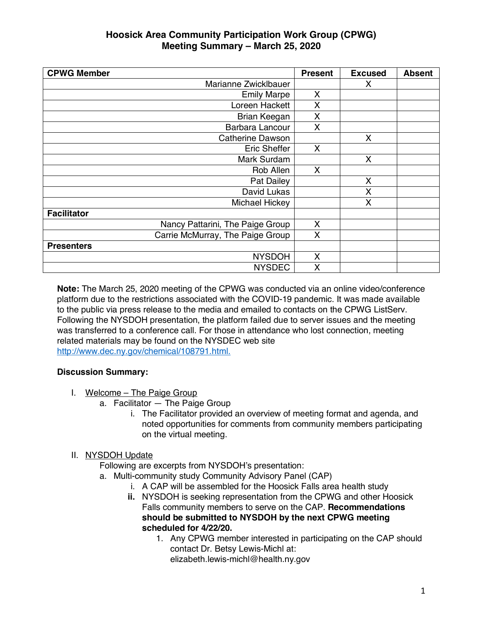| <b>CPWG Member</b>               | <b>Present</b> | <b>Excused</b> | <b>Absent</b> |
|----------------------------------|----------------|----------------|---------------|
| Marianne Zwicklbauer             |                | X              |               |
| <b>Emily Marpe</b>               | X              |                |               |
| Loreen Hackett                   | X              |                |               |
| Brian Keegan                     | X              |                |               |
| Barbara Lancour                  | X              |                |               |
| Catherine Dawson                 |                | X              |               |
| <b>Eric Sheffer</b>              | X              |                |               |
| Mark Surdam                      |                | X              |               |
| Rob Allen                        | X              |                |               |
| Pat Dailey                       |                | X              |               |
| David Lukas                      |                | X              |               |
| Michael Hickey                   |                | Χ              |               |
| <b>Facilitator</b>               |                |                |               |
| Nancy Pattarini, The Paige Group | X              |                |               |
| Carrie McMurray, The Paige Group | X              |                |               |
| <b>Presenters</b>                |                |                |               |
| <b>NYSDOH</b>                    | X              |                |               |
| <b>NYSDEC</b>                    | X              |                |               |

**Note:** The March 25, 2020 meeting of the CPWG was conducted via an online video/conference platform due to the restrictions associated with the COVID-19 pandemic. It was made available to the public via press release to the media and emailed to contacts on the CPWG ListServ. Following the NYSDOH presentation, the platform failed due to server issues and the meeting was transferred to a conference call. For those in attendance who lost connection, meeting related materials may be found on the NYSDEC web site http://www.dec.ny.gov/chemical/108791.html.

#### **Discussion Summary:**

- I. Welcome The Paige Group
	- a. Facilitator The Paige Group
		- i. The Facilitator provided an overview of meeting format and agenda, and noted opportunities for comments from community members participating on the virtual meeting.

#### II. NYSDOH Update

- Following are excerpts from NYSDOH's presentation:
- a. Multi-community study Community Advisory Panel (CAP)
	- i. A CAP will be assembled for the Hoosick Falls area health study
	- **ii.** NYSDOH is seeking representation from the CPWG and other Hoosick Falls community members to serve on the CAP. **Recommendations should be submitted to NYSDOH by the next CPWG meeting scheduled for 4/22/20.**
		- 1. Any CPWG member interested in participating on the CAP should contact Dr. Betsy Lewis-Michl at: elizabeth.lewis-michl@health.ny.gov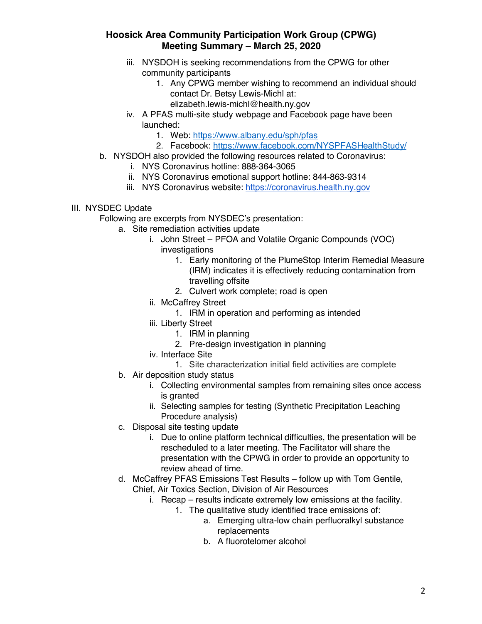- iii. NYSDOH is seeking recommendations from the CPWG for other community participants
	- 1. Any CPWG member wishing to recommend an individual should contact Dr. Betsy Lewis-Michl at:
		- elizabeth.lewis-michl@health.ny.gov
- iv. A PFAS multi-site study webpage and Facebook page have been launched:
	- 1. Web: https://www.albany.edu/sph/pfas
	- 2. Facebook: https://www.facebook.com/NYSPFASHealthStudy/
- b. NYSDOH also provided the following resources related to Coronavirus:
	- i. NYS Coronavirus hotline: 888-364-3065
	- ii. NYS Coronavirus emotional support hotline: 844-863-9314
	- iii. NYS Coronavirus website: https://coronavirus.health.ny.gov

#### III. NYSDEC Update

Following are excerpts from NYSDEC's presentation:

- a. Site remediation activities update
	- i. John Street PFOA and Volatile Organic Compounds (VOC) investigations
		- 1. Early monitoring of the PlumeStop Interim Remedial Measure (IRM) indicates it is effectively reducing contamination from travelling offsite
		- 2. Culvert work complete; road is open
	- ii. McCaffrey Street
		- 1. IRM in operation and performing as intended
	- iii. Liberty Street
		- 1. IRM in planning
		- 2. Pre-design investigation in planning
	- iv. Interface Site
		- 1. Site characterization initial field activities are complete
- b. Air deposition study status
	- i. Collecting environmental samples from remaining sites once access is granted
	- ii. Selecting samples for testing (Synthetic Precipitation Leaching Procedure analysis)
- c. Disposal site testing update
	- i. Due to online platform technical difficulties, the presentation will be rescheduled to a later meeting. The Facilitator will share the presentation with the CPWG in order to provide an opportunity to review ahead of time.
- d. McCaffrey PFAS Emissions Test Results follow up with Tom Gentile, Chief, Air Toxics Section, Division of Air Resources
	- i. Recap results indicate extremely low emissions at the facility.
		- 1. The qualitative study identified trace emissions of:
			- a. Emerging ultra-low chain perfluoralkyl substance replacements
			- b. A fluorotelomer alcohol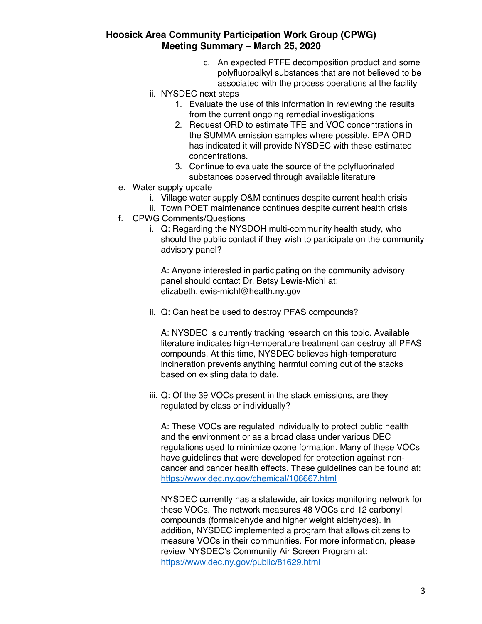- c. An expected PTFE decomposition product and some polyfluoroalkyl substances that are not believed to be associated with the process operations at the facility
- ii. NYSDEC next steps
	- 1. Evaluate the use of this information in reviewing the results from the current ongoing remedial investigations
	- 2. Request ORD to estimate TFE and VOC concentrations in the SUMMA emission samples where possible. EPA ORD has indicated it will provide NYSDEC with these estimated concentrations.
	- 3. Continue to evaluate the source of the polyfluorinated substances observed through available literature
- e. Water supply update
	- i. Village water supply O&M continues despite current health crisis
	- ii. Town POET maintenance continues despite current health crisis
- f. CPWG Comments/Questions
	- i. Q: Regarding the NYSDOH multi-community health study, who should the public contact if they wish to participate on the community advisory panel?

A: Anyone interested in participating on the community advisory panel should contact Dr. Betsy Lewis-Michl at: elizabeth.lewis-michl@health.ny.gov

ii. Q: Can heat be used to destroy PFAS compounds?

A: NYSDEC is currently tracking research on this topic. Available literature indicates high-temperature treatment can destroy all PFAS compounds. At this time, NYSDEC believes high-temperature incineration prevents anything harmful coming out of the stacks based on existing data to date.

iii. Q: Of the 39 VOCs present in the stack emissions, are they regulated by class or individually?

A: These VOCs are regulated individually to protect public health and the environment or as a broad class under various DEC regulations used to minimize ozone formation. Many of these VOCs have quidelines that were developed for protection against noncancer and cancer health effects. These guidelines can be found at: https://www.dec.ny.gov/chemical/106667.html

NYSDEC currently has a statewide, air toxics monitoring network for these VOCs. The network measures 48 VOCs and 12 carbonyl compounds (formaldehyde and higher weight aldehydes). In addition, NYSDEC implemented a program that allows citizens to measure VOCs in their communities. For more information, please review NYSDEC's Community Air Screen Program at: https://www.dec.ny.gov/public/81629.html